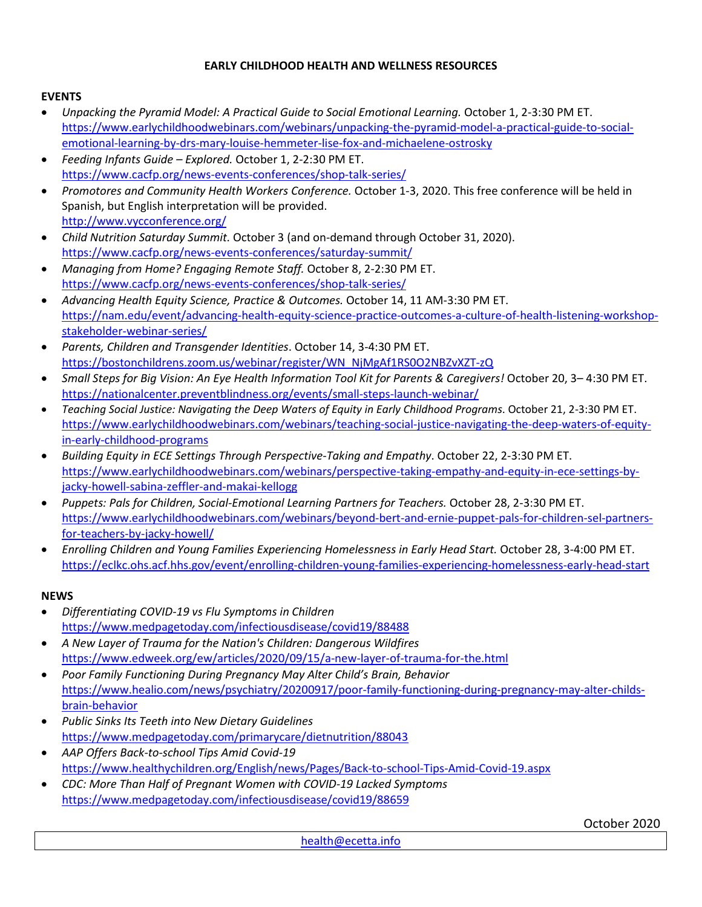## **EARLY CHILDHOOD HEALTH AND WELLNESS RESOURCES**

## **EVENTS**

- *Unpacking the Pyramid Model: A Practical Guide to Social Emotional Learning.* October 1, 2-3:30 PM ET. [https://www.earlychildhoodwebinars.com/webinars/unpacking-the-pyramid-model-a-practical-guide-to-social](https://www.earlychildhoodwebinars.com/webinars/unpacking-the-pyramid-model-a-practical-guide-to-social-emotional-learning-by-drs-mary-louise-hemmeter-lise-fox-and-michaelene-ostrosky)[emotional-learning-by-drs-mary-louise-hemmeter-lise-fox-and-michaelene-ostrosky](https://www.earlychildhoodwebinars.com/webinars/unpacking-the-pyramid-model-a-practical-guide-to-social-emotional-learning-by-drs-mary-louise-hemmeter-lise-fox-and-michaelene-ostrosky)
- *Feeding Infants Guide – Explored.* October 1, 2-2:30 PM ET. <https://www.cacfp.org/news-events-conferences/shop-talk-series/>
- *Promotores and Community Health Workers Conference.* October 1-3, 2020. This free conference will be held in Spanish, but English interpretation will be provided. <http://www.vycconference.org/>
- *Child Nutrition Saturday Summit.* October 3 (and on-demand through October 31, 2020). <https://www.cacfp.org/news-events-conferences/saturday-summit/>
- *Managing from Home? Engaging Remote Staff.* October 8, 2-2:30 PM ET. <https://www.cacfp.org/news-events-conferences/shop-talk-series/>
- *Advancing Health Equity Science, Practice & Outcomes.* October 14, 11 AM-3:30 PM ET. [https://nam.edu/event/advancing-health-equity-science-practice-outcomes-a-culture-of-health-listening-workshop](https://nam.edu/event/advancing-health-equity-science-practice-outcomes-a-culture-of-health-listening-workshop-stakeholder-webinar-series/)[stakeholder-webinar-series/](https://nam.edu/event/advancing-health-equity-science-practice-outcomes-a-culture-of-health-listening-workshop-stakeholder-webinar-series/)
- *Parents, Children and Transgender Identities*. October 14, 3-4:30 PM ET. [https://bostonchildrens.zoom.us/webinar/register/WN\\_NjMgAf1RS0O2NBZvXZT-zQ](https://bostonchildrens.zoom.us/webinar/register/WN_NjMgAf1RS0O2NBZvXZT-zQ)
- *Small Steps for Big Vision: An Eye Health Information Tool Kit for Parents & Caregivers!* October 20, 3– 4:30 PM ET. <https://nationalcenter.preventblindness.org/events/small-steps-launch-webinar/>
- *Teaching Social Justice: Navigating the Deep Waters of Equity in Early Childhood Programs*. October 21, 2-3:30 PM ET. [https://www.earlychildhoodwebinars.com/webinars/teaching-social-justice-navigating-the-deep-waters-of-equity](https://www.earlychildhoodwebinars.com/webinars/teaching-social-justice-navigating-the-deep-waters-of-equity-in-early-childhood-programs/?utm_source=Early+Childhood+Investigations+Email+News+and+Announcements&utm_campaign=8a2b6b444f-EMAIL_CAMPAIGN_2019_01_28_04_40_COPY_07&utm_medium=email&utm_term=0_835c2061f6-8a2b6b444f-391596945)[in-early-childhood-programs](https://www.earlychildhoodwebinars.com/webinars/teaching-social-justice-navigating-the-deep-waters-of-equity-in-early-childhood-programs/?utm_source=Early+Childhood+Investigations+Email+News+and+Announcements&utm_campaign=8a2b6b444f-EMAIL_CAMPAIGN_2019_01_28_04_40_COPY_07&utm_medium=email&utm_term=0_835c2061f6-8a2b6b444f-391596945)
- *Building Equity in ECE Settings Through Perspective-Taking and Empathy*. October 22, 2-3:30 PM ET. [https://www.earlychildhoodwebinars.com/webinars/perspective-taking-empathy-and-equity-in-ece-settings-by](https://www.earlychildhoodwebinars.com/webinars/perspective-taking-empathy-and-equity-in-ece-settings-by-jacky-howell-sabina-zeffler-and-makai-kellogg)[jacky-howell-sabina-zeffler-and-makai-kellogg](https://www.earlychildhoodwebinars.com/webinars/perspective-taking-empathy-and-equity-in-ece-settings-by-jacky-howell-sabina-zeffler-and-makai-kellogg)
- *Puppets: Pals for Children, Social-Emotional Learning Partners for Teachers.* October 28, 2-3:30 PM ET. [https://www.earlychildhoodwebinars.com/webinars/beyond-bert-and-ernie-puppet-pals-for-children-sel-partners](https://www.earlychildhoodwebinars.com/webinars/beyond-bert-and-ernie-puppet-pals-for-children-sel-partners-for-teachers-by-jacky-howell/)[for-teachers-by-jacky-howell/](https://www.earlychildhoodwebinars.com/webinars/beyond-bert-and-ernie-puppet-pals-for-children-sel-partners-for-teachers-by-jacky-howell/)
- *Enrolling Children and Young Families Experiencing Homelessness in Early Head Start.* October 28, 3-4:00 PM ET. <https://eclkc.ohs.acf.hhs.gov/event/enrolling-children-young-families-experiencing-homelessness-early-head-start>

## **NEWS**

- *Differentiating COVID-19 vs Flu Symptoms in Children* <https://www.medpagetoday.com/infectiousdisease/covid19/88488>
- *A New Layer of Trauma for the Nation's Children: Dangerous Wildfires* <https://www.edweek.org/ew/articles/2020/09/15/a-new-layer-of-trauma-for-the.html>
- *Poor Family Functioning During Pregnancy May Alter Child's Brain, Behavior* [https://www.healio.com/news/psychiatry/20200917/poor-family-functioning-during-pregnancy-may-alter-childs](https://www.healio.com/news/psychiatry/20200917/poor-family-functioning-during-pregnancy-may-alter-childs-brain-behavior)[brain-behavior](https://www.healio.com/news/psychiatry/20200917/poor-family-functioning-during-pregnancy-may-alter-childs-brain-behavior)
- *Public Sinks Its Teeth into New Dietary Guidelines* <https://www.medpagetoday.com/primarycare/dietnutrition/88043>
- *AAP Offers Back-to-school Tips Amid Covid-19* <https://www.healthychildren.org/English/news/Pages/Back-to-school-Tips-Amid-Covid-19.aspx>
- *CDC: More Than Half of Pregnant Women with COVID-19 Lacked Symptoms* <https://www.medpagetoday.com/infectiousdisease/covid19/88659>

October 2020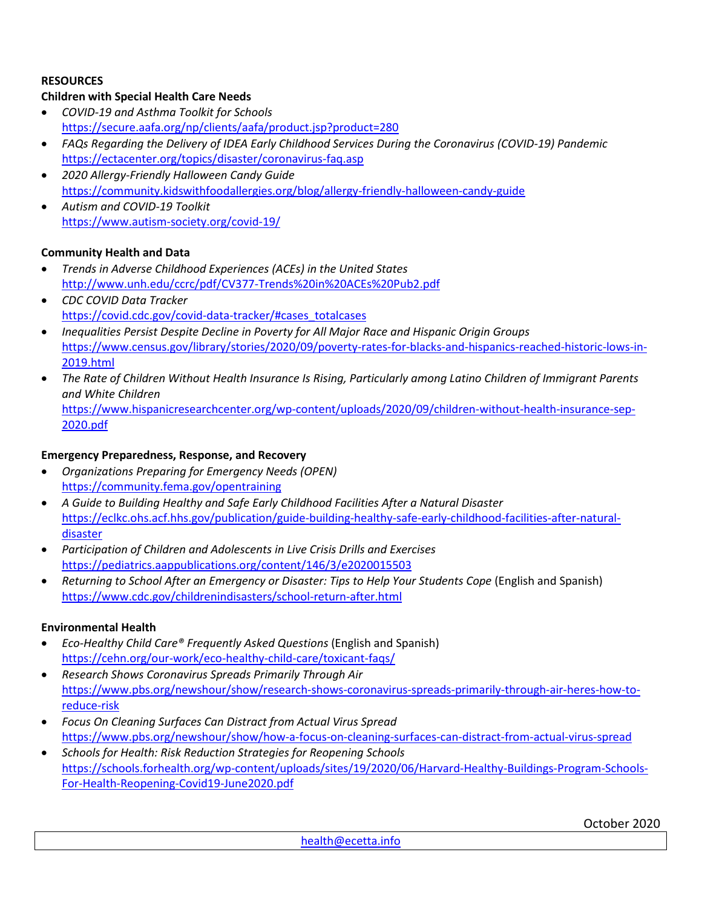## **RESOURCES**

## **Children with Special Health Care Needs**

- *COVID-19 and Asthma Toolkit for Schools* <https://secure.aafa.org/np/clients/aafa/product.jsp?product=280>
- *FAQs Regarding the Delivery of IDEA Early Childhood Services During the Coronavirus (COVID-19) Pandemic* <https://ectacenter.org/topics/disaster/coronavirus-faq.asp>
- *2020 Allergy-Friendly Halloween Candy Guide* <https://community.kidswithfoodallergies.org/blog/allergy-friendly-halloween-candy-guide>
- *Autism and COVID-19 Toolkit*  <https://www.autism-society.org/covid-19/>

## **Community Health and Data**

- *Trends in Adverse Childhood Experiences (ACEs) in the United States* <http://www.unh.edu/ccrc/pdf/CV377-Trends%20in%20ACEs%20Pub2.pdf>
- *CDC COVID Data Tracker* [https://covid.cdc.gov/covid-data-tracker/#cases\\_totalcases](https://covid.cdc.gov/covid-data-tracker/#cases_totalcases)
- *Inequalities Persist Despite Decline in Poverty for All Major Race and Hispanic Origin Groups* [https://www.census.gov/library/stories/2020/09/poverty-rates-for-blacks-and-hispanics-reached-historic-lows-in-](https://www.census.gov/library/stories/2020/09/poverty-rates-for-blacks-and-hispanics-reached-historic-lows-in-2019.html)[2019.html](https://www.census.gov/library/stories/2020/09/poverty-rates-for-blacks-and-hispanics-reached-historic-lows-in-2019.html)
- *The Rate of Children Without Health Insurance Is Rising, Particularly among Latino Children of Immigrant Parents and White Children* [https://www.hispanicresearchcenter.org/wp-content/uploads/2020/09/children-without-health-insurance-sep-](https://www.hispanicresearchcenter.org/wp-content/uploads/2020/09/children-without-health-insurance-sep-2020.pdf)

```
2020.pdf
```
## **Emergency Preparedness, Response, and Recovery**

- *Organizations Preparing for Emergency Needs (OPEN)* <https://community.fema.gov/opentraining>
- *A Guide to Building Healthy and Safe Early Childhood Facilities After a Natural Disaster* [https://eclkc.ohs.acf.hhs.gov/publication/guide-building-healthy-safe-early-childhood-facilities-after-natural](https://eclkc.ohs.acf.hhs.gov/publication/guide-building-healthy-safe-early-childhood-facilities-after-natural-disaster)[disaster](https://eclkc.ohs.acf.hhs.gov/publication/guide-building-healthy-safe-early-childhood-facilities-after-natural-disaster)
- *Participation of Children and Adolescents in Live Crisis Drills and Exercises* <https://pediatrics.aappublications.org/content/146/3/e2020015503>
- *Returning to School After an Emergency or Disaster: Tips to Help Your Students Cope* (English and Spanish) <https://www.cdc.gov/childrenindisasters/school-return-after.html>

## **Environmental Health**

- *Eco-Healthy Child Care® Frequently Asked Questions* (English and Spanish) <https://cehn.org/our-work/eco-healthy-child-care/toxicant-faqs/>
- *Research Shows Coronavirus Spreads Primarily Through Air* [https://www.pbs.org/newshour/show/research-shows-coronavirus-spreads-primarily-through-air-heres-how-to](https://www.pbs.org/newshour/show/research-shows-coronavirus-spreads-primarily-through-air-heres-how-to-reduce-risk)[reduce-risk](https://www.pbs.org/newshour/show/research-shows-coronavirus-spreads-primarily-through-air-heres-how-to-reduce-risk)
- *Focus On Cleaning Surfaces Can Distract from Actual Virus Spread*  <https://www.pbs.org/newshour/show/how-a-focus-on-cleaning-surfaces-can-distract-from-actual-virus-spread>
- *Schools for Health: Risk Reduction Strategies for Reopening Schools* [https://schools.forhealth.org/wp-content/uploads/sites/19/2020/06/Harvard-Healthy-Buildings-Program-Schools-](https://schools.forhealth.org/wp-content/uploads/sites/19/2020/06/Harvard-Healthy-Buildings-Program-Schools-For-Health-Reopening-Covid19-June2020.pdf)[For-Health-Reopening-Covid19-June2020.pdf](https://schools.forhealth.org/wp-content/uploads/sites/19/2020/06/Harvard-Healthy-Buildings-Program-Schools-For-Health-Reopening-Covid19-June2020.pdf)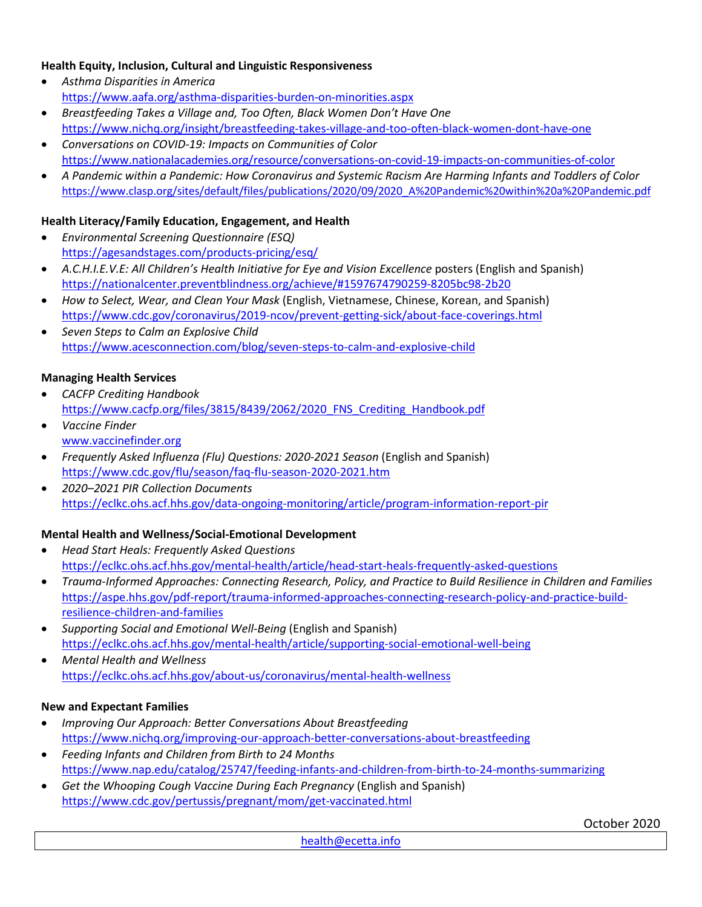## **Health Equity, Inclusion, Cultural and Linguistic Responsiveness**

- *Asthma Disparities in America* <https://www.aafa.org/asthma-disparities-burden-on-minorities.aspx>
- *Breastfeeding Takes a Village and, Too Often, Black Women Don't Have One* <https://www.nichq.org/insight/breastfeeding-takes-village-and-too-often-black-women-dont-have-one>
- *Conversations on COVID-19: Impacts on Communities of Color* <https://www.nationalacademies.org/resource/conversations-on-covid-19-impacts-on-communities-of-color>
- *A Pandemic within a Pandemic: How Coronavirus and Systemic Racism Are Harming Infants and Toddlers of Color* [https://www.clasp.org/sites/default/files/publications/2020/09/2020\\_A%20Pandemic%20within%20a%20Pandemic.pdf](https://www.clasp.org/sites/default/files/publications/2020/09/2020_A%20Pandemic%20within%20a%20Pandemic.pdf)

## **Health Literacy/Family Education, Engagement, and Health**

- *Environmental Screening Questionnaire (ESQ)* <https://agesandstages.com/products-pricing/esq/>
- *A.C.H.I.E.V.E: All Children's Health Initiative for Eye and Vision Excellence* posters (English and Spanish) <https://nationalcenter.preventblindness.org/achieve/#1597674790259-8205bc98-2b20>
- *How to Select, Wear, and Clean Your Mask* (English, Vietnamese, Chinese, Korean, and Spanish) <https://www.cdc.gov/coronavirus/2019-ncov/prevent-getting-sick/about-face-coverings.html>
- *Seven Steps to Calm an Explosive Child* <https://www.acesconnection.com/blog/seven-steps-to-calm-and-explosive-child>

### **Managing Health Services**

- *CACFP Crediting Handbook* [https://www.cacfp.org/files/3815/8439/2062/2020\\_FNS\\_Crediting\\_Handbook.pdf](https://www.cacfp.org/files/3815/8439/2062/2020_FNS_Crediting_Handbook.pdf)
- *Vaccine Finder* [www.vaccinefinder.org](http://www.vaccinefinder.org/)
- *Frequently Asked Influenza (Flu) Questions: 2020-2021 Season* (English and Spanish) <https://www.cdc.gov/flu/season/faq-flu-season-2020-2021.htm>
- *2020–2021 PIR Collection Documents* <https://eclkc.ohs.acf.hhs.gov/data-ongoing-monitoring/article/program-information-report-pir>

## **Mental Health and Wellness/Social-Emotional Development**

- *Head Start Heals: Frequently Asked Questions* <https://eclkc.ohs.acf.hhs.gov/mental-health/article/head-start-heals-frequently-asked-questions>
- *Trauma-Informed Approaches: Connecting Research, Policy, and Practice to Build Resilience in Children and Families* [https://aspe.hhs.gov/pdf-report/trauma-informed-approaches-connecting-research-policy-and-practice-build](https://aspe.hhs.gov/pdf-report/trauma-informed-approaches-connecting-research-policy-and-practice-build-resilience-children-and-families)[resilience-children-and-families](https://aspe.hhs.gov/pdf-report/trauma-informed-approaches-connecting-research-policy-and-practice-build-resilience-children-and-families)
- *Supporting Social and Emotional Well-Being* (English and Spanish) <https://eclkc.ohs.acf.hhs.gov/mental-health/article/supporting-social-emotional-well-being>
- *Mental Health and Wellness* <https://eclkc.ohs.acf.hhs.gov/about-us/coronavirus/mental-health-wellness>

#### **New and Expectant Families**

- *Improving Our Approach: Better Conversations About Breastfeeding* <https://www.nichq.org/improving-our-approach-better-conversations-about-breastfeeding>
- *Feeding Infants and Children from Birth to 24 Months* <https://www.nap.edu/catalog/25747/feeding-infants-and-children-from-birth-to-24-months-summarizing>
- *Get the Whooping Cough Vaccine During Each Pregnancy* (English and Spanish) <https://www.cdc.gov/pertussis/pregnant/mom/get-vaccinated.html>

October 2020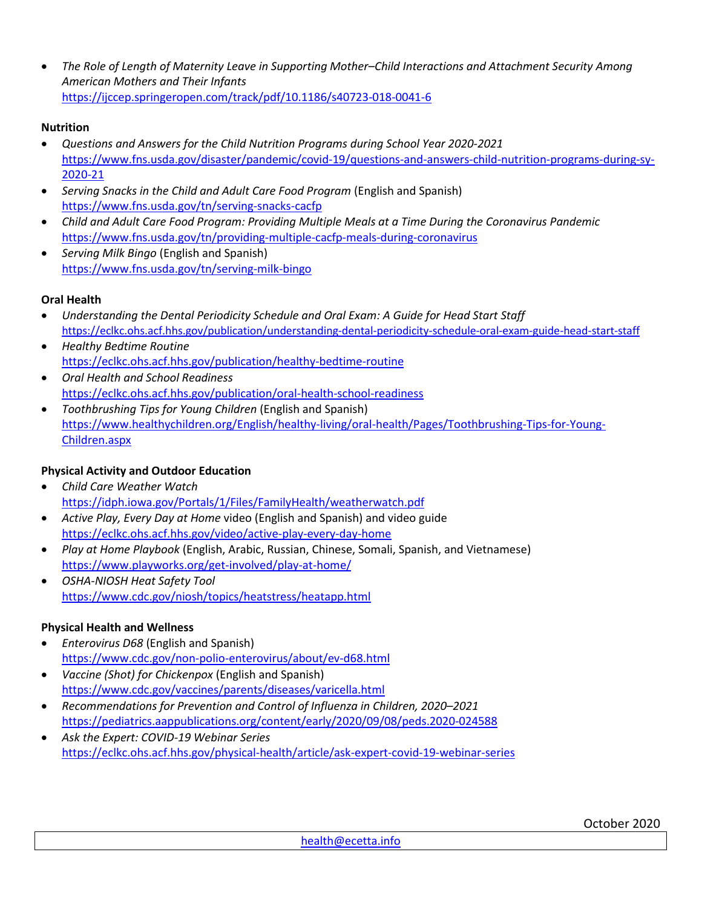• *The Role of Length of Maternity Leave in Supporting Mother–Child Interactions and Attachment Security Among American Mothers and Their Infants* <https://ijccep.springeropen.com/track/pdf/10.1186/s40723-018-0041-6>

# **Nutrition**

- *Questions and Answers for the Child Nutrition Programs during School Year 2020-2021* [https://www.fns.usda.gov/disaster/pandemic/covid-19/questions-and-answers-child-nutrition-programs-during-sy-](https://www.fns.usda.gov/disaster/pandemic/covid-19/questions-and-answers-child-nutrition-programs-during-sy-2020-21)[2020-21](https://www.fns.usda.gov/disaster/pandemic/covid-19/questions-and-answers-child-nutrition-programs-during-sy-2020-21)
- *Serving Snacks in the Child and Adult Care Food Program* (English and Spanish) <https://www.fns.usda.gov/tn/serving-snacks-cacfp>
- *Child and Adult Care Food Program: Providing Multiple Meals at a Time During the Coronavirus Pandemic* <https://www.fns.usda.gov/tn/providing-multiple-cacfp-meals-during-coronavirus>
- *Serving Milk Bingo* (English and Spanish) <https://www.fns.usda.gov/tn/serving-milk-bingo>

# **Oral Health**

- *Understanding the Dental Periodicity Schedule and Oral Exam: A Guide for Head Start Staff* <https://eclkc.ohs.acf.hhs.gov/publication/understanding-dental-periodicity-schedule-oral-exam-guide-head-start-staff>
- *Healthy Bedtime Routine* <https://eclkc.ohs.acf.hhs.gov/publication/healthy-bedtime-routine>
- *Oral Health and School Readiness* <https://eclkc.ohs.acf.hhs.gov/publication/oral-health-school-readiness>
- *Toothbrushing Tips for Young Children* (English and Spanish) [https://www.healthychildren.org/English/healthy-living/oral-health/Pages/Toothbrushing-Tips-for-Young-](https://www.healthychildren.org/English/healthy-living/oral-health/Pages/Toothbrushing-Tips-for-Young-Children.aspx)[Children.aspx](https://www.healthychildren.org/English/healthy-living/oral-health/Pages/Toothbrushing-Tips-for-Young-Children.aspx)

# **Physical Activity and Outdoor Education**

- *Child Care Weather Watch* <https://idph.iowa.gov/Portals/1/Files/FamilyHealth/weatherwatch.pdf>
- *Active Play, Every Day at Home* video (English and Spanish) and video guide <https://eclkc.ohs.acf.hhs.gov/video/active-play-every-day-home>
- *Play at Home Playbook* (English, Arabic, Russian, Chinese, Somali, Spanish, and Vietnamese) <https://www.playworks.org/get-involved/play-at-home/>
- *OSHA-NIOSH Heat Safety Tool* <https://www.cdc.gov/niosh/topics/heatstress/heatapp.html>

# **Physical Health and Wellness**

- *Enterovirus D68* (English and Spanish) <https://www.cdc.gov/non-polio-enterovirus/about/ev-d68.html>
- *Vaccine (Shot) for Chickenpox* (English and Spanish) <https://www.cdc.gov/vaccines/parents/diseases/varicella.html>
- *Recommendations for Prevention and Control of Influenza in Children, 2020–2021* <https://pediatrics.aappublications.org/content/early/2020/09/08/peds.2020-024588>
- *Ask the Expert: COVID-19 Webinar Series* <https://eclkc.ohs.acf.hhs.gov/physical-health/article/ask-expert-covid-19-webinar-series>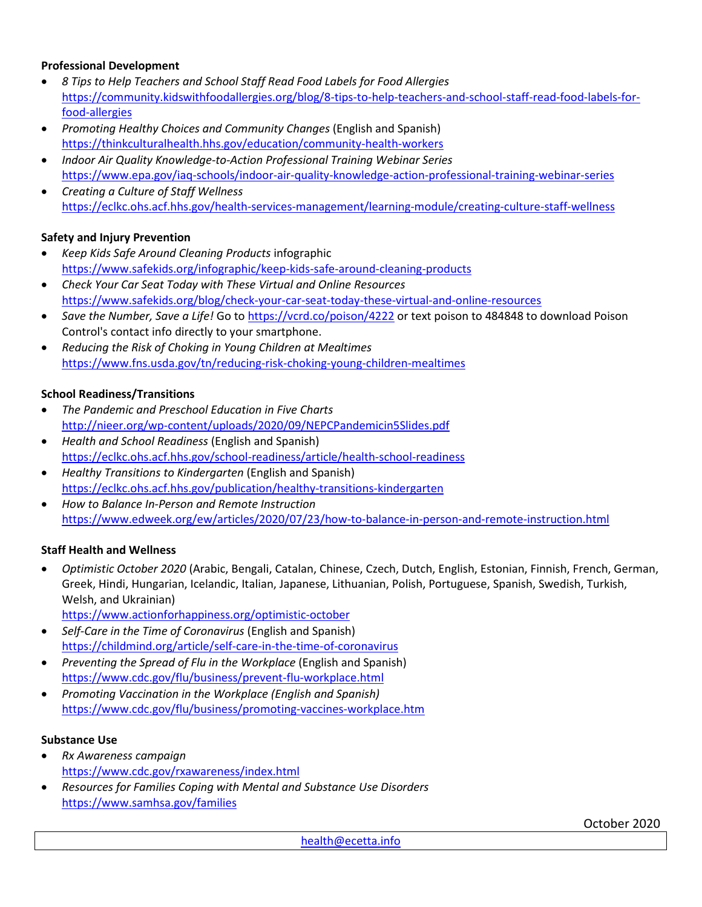## **Professional Development**

- *8 Tips to Help Teachers and School Staff Read Food Labels for Food Allergies* [https://community.kidswithfoodallergies.org/blog/8-tips-to-help-teachers-and-school-staff-read-food-labels-for](https://community.kidswithfoodallergies.org/blog/8-tips-to-help-teachers-and-school-staff-read-food-labels-for-food-allergies)[food-allergies](https://community.kidswithfoodallergies.org/blog/8-tips-to-help-teachers-and-school-staff-read-food-labels-for-food-allergies)
- *Promoting Healthy Choices and Community Changes* (English and Spanish) <https://thinkculturalhealth.hhs.gov/education/community-health-workers>
- *Indoor Air Quality Knowledge-to-Action Professional Training Webinar Series* <https://www.epa.gov/iaq-schools/indoor-air-quality-knowledge-action-professional-training-webinar-series>
- *Creating a Culture of Staff Wellness* <https://eclkc.ohs.acf.hhs.gov/health-services-management/learning-module/creating-culture-staff-wellness>

## **Safety and Injury Prevention**

- *Keep Kids Safe Around Cleaning Products* infographic <https://www.safekids.org/infographic/keep-kids-safe-around-cleaning-products>
- *Check Your Car Seat Today with These Virtual and Online Resources* <https://www.safekids.org/blog/check-your-car-seat-today-these-virtual-and-online-resources>
- *Save the Number, Save a Life!* Go to<https://vcrd.co/poison/4222> or text poison to 484848 to download Poison Control's contact info directly to your smartphone.
- *Reducing the Risk of Choking in Young Children at Mealtimes* <https://www.fns.usda.gov/tn/reducing-risk-choking-young-children-mealtimes>

### **School Readiness/Transitions**

- *The Pandemic and Preschool Education in Five Charts* <http://nieer.org/wp-content/uploads/2020/09/NEPCPandemicin5Slides.pdf>
- *Health and School Readiness* (English and Spanish) <https://eclkc.ohs.acf.hhs.gov/school-readiness/article/health-school-readiness>
- *Healthy Transitions to Kindergarten* (English and Spanish) <https://eclkc.ohs.acf.hhs.gov/publication/healthy-transitions-kindergarten>
- *How to Balance In-Person and Remote Instruction* <https://www.edweek.org/ew/articles/2020/07/23/how-to-balance-in-person-and-remote-instruction.html>

#### **Staff Health and Wellness**

- *Optimistic October 2020* (Arabic, Bengali, Catalan, Chinese, Czech, Dutch, English, Estonian, Finnish, French, German, Greek, Hindi, Hungarian, Icelandic, Italian, Japanese, Lithuanian, Polish, Portuguese, Spanish, Swedish, Turkish, Welsh, and Ukrainian)
	- <https://www.actionforhappiness.org/optimistic-october>
- *Self-Care in the Time of Coronavirus* (English and Spanish) <https://childmind.org/article/self-care-in-the-time-of-coronavirus>
- *Preventing the Spread of Flu in the Workplace* (English and Spanish) <https://www.cdc.gov/flu/business/prevent-flu-workplace.html>
- *Promoting Vaccination in the Workplace (English and Spanish)* <https://www.cdc.gov/flu/business/promoting-vaccines-workplace.htm>

#### **Substance Use**

- *Rx Awareness campaign* <https://www.cdc.gov/rxawareness/index.html>
- *Resources for Families Coping with Mental and Substance Use Disorders* <https://www.samhsa.gov/families>

October 2020